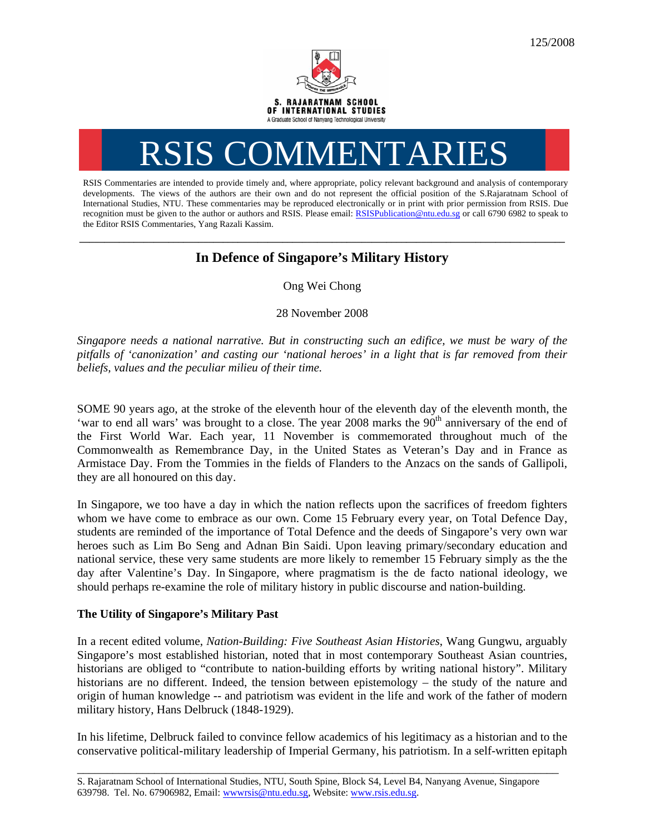

# RSIS COMMENTARIES

RSIS Commentaries are intended to provide timely and, where appropriate, policy relevant background and analysis of contemporary developments. The views of the authors are their own and do not represent the official position of the S.Rajaratnam School of International Studies, NTU. These commentaries may be reproduced electronically or in print with prior permission from RSIS. Due recognition must be given to the author or authors and RSIS. Please email: RSISPublication@ntu.edu.sg or call 6790 6982 to speak to the Editor RSIS Commentaries, Yang Razali Kassim.

## **\_\_\_\_\_\_\_\_\_\_\_\_\_\_\_\_\_\_\_\_\_\_\_\_\_\_\_\_\_\_\_\_\_\_\_\_\_\_\_\_\_\_\_\_\_\_\_\_\_\_\_\_\_\_\_\_\_\_\_\_\_\_\_\_\_\_\_\_\_\_\_\_\_\_\_\_\_\_\_\_\_\_\_\_\_\_\_\_\_\_\_\_\_\_\_\_\_\_ In Defence of Singapore's Military History**

Ong Wei Chong

28 November 2008

*Singapore needs a national narrative. But in constructing such an edifice, we must be wary of the pitfalls of 'canonization' and casting our 'national heroes' in a light that is far removed from their beliefs, values and the peculiar milieu of their time.* 

SOME 90 years ago, at the stroke of the eleventh hour of the eleventh day of the eleventh month, the 'war to end all wars' was brought to a close. The year 2008 marks the  $90<sup>th</sup>$  anniversary of the end of the First World War. Each year, 11 November is commemorated throughout much of the Commonwealth as Remembrance Day, in the United States as Veteran's Day and in France as Armistace Day. From the Tommies in the fields of Flanders to the Anzacs on the sands of Gallipoli, they are all honoured on this day.

In Singapore, we too have a day in which the nation reflects upon the sacrifices of freedom fighters whom we have come to embrace as our own. Come 15 February every year, on Total Defence Day, students are reminded of the importance of Total Defence and the deeds of Singapore's very own war heroes such as Lim Bo Seng and Adnan Bin Saidi. Upon leaving primary/secondary education and national service, these very same students are more likely to remember 15 February simply as the the day after Valentine's Day. In Singapore, where pragmatism is the de facto national ideology, we should perhaps re-examine the role of military history in public discourse and nation-building.

### **The Utility of Singapore's Military Past**

In a recent edited volume, *Nation-Building: Five Southeast Asian Histories*, Wang Gungwu, arguably Singapore's most established historian, noted that in most contemporary Southeast Asian countries, historians are obliged to "contribute to nation-building efforts by writing national history". Military historians are no different. Indeed, the tension between epistemology – the study of the nature and origin of human knowledge -- and patriotism was evident in the life and work of the father of modern military history, Hans Delbruck (1848-1929).

In his lifetime, Delbruck failed to convince fellow academics of his legitimacy as a historian and to the conservative political-military leadership of Imperial Germany, his patriotism. In a self-written epitaph

\_\_\_\_\_\_\_\_\_\_\_\_\_\_\_\_\_\_\_\_\_\_\_\_\_\_\_\_\_\_\_\_\_\_\_\_\_\_\_\_\_\_\_\_\_\_\_\_\_\_\_\_\_\_\_\_\_\_\_\_\_\_\_\_\_\_\_\_\_\_\_\_\_\_\_\_\_\_\_\_\_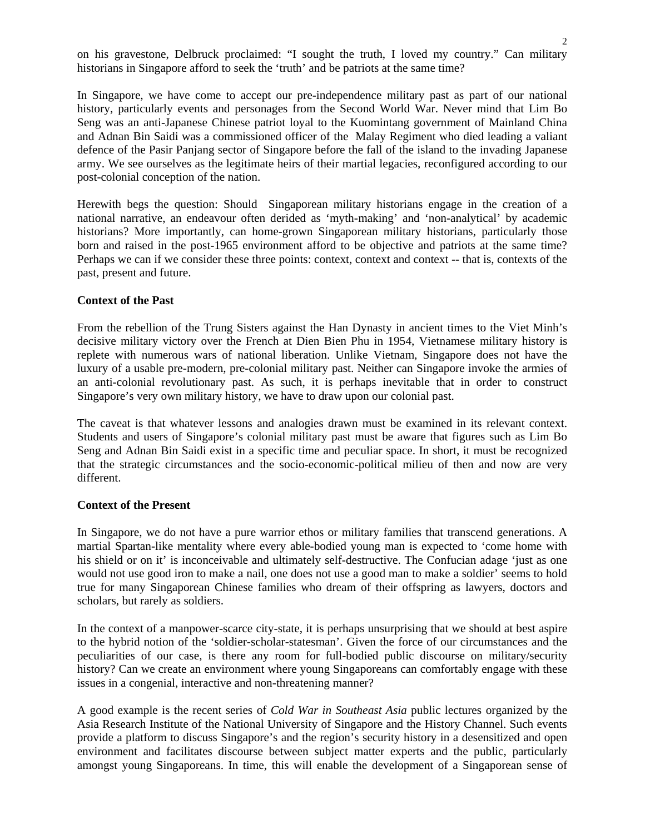on his gravestone, Delbruck proclaimed: "I sought the truth, I loved my country." Can military historians in Singapore afford to seek the 'truth' and be patriots at the same time?

In Singapore, we have come to accept our pre-independence military past as part of our national history, particularly events and personages from the Second World War. Never mind that Lim Bo Seng was an anti-Japanese Chinese patriot loyal to the Kuomintang government of Mainland China and Adnan Bin Saidi was a commissioned officer of the Malay Regiment who died leading a valiant defence of the Pasir Panjang sector of Singapore before the fall of the island to the invading Japanese army. We see ourselves as the legitimate heirs of their martial legacies, reconfigured according to our post-colonial conception of the nation.

Herewith begs the question: Should Singaporean military historians engage in the creation of a national narrative, an endeavour often derided as 'myth-making' and 'non-analytical' by academic historians? More importantly, can home-grown Singaporean military historians, particularly those born and raised in the post-1965 environment afford to be objective and patriots at the same time? Perhaps we can if we consider these three points: context, context and context -- that is, contexts of the past, present and future.

#### **Context of the Past**

From the rebellion of the Trung Sisters against the Han Dynasty in ancient times to the Viet Minh's decisive military victory over the French at Dien Bien Phu in 1954, Vietnamese military history is replete with numerous wars of national liberation. Unlike Vietnam, Singapore does not have the luxury of a usable pre-modern, pre-colonial military past. Neither can Singapore invoke the armies of an anti-colonial revolutionary past. As such, it is perhaps inevitable that in order to construct Singapore's very own military history, we have to draw upon our colonial past.

The caveat is that whatever lessons and analogies drawn must be examined in its relevant context. Students and users of Singapore's colonial military past must be aware that figures such as Lim Bo Seng and Adnan Bin Saidi exist in a specific time and peculiar space. In short, it must be recognized that the strategic circumstances and the socio-economic-political milieu of then and now are very different.

#### **Context of the Present**

In Singapore, we do not have a pure warrior ethos or military families that transcend generations. A martial Spartan-like mentality where every able-bodied young man is expected to 'come home with his shield or on it' is inconceivable and ultimately self-destructive. The Confucian adage 'just as one would not use good iron to make a nail, one does not use a good man to make a soldier' seems to hold true for many Singaporean Chinese families who dream of their offspring as lawyers, doctors and scholars, but rarely as soldiers.

In the context of a manpower-scarce city-state, it is perhaps unsurprising that we should at best aspire to the hybrid notion of the 'soldier-scholar-statesman'. Given the force of our circumstances and the peculiarities of our case, is there any room for full-bodied public discourse on military/security history? Can we create an environment where young Singaporeans can comfortably engage with these issues in a congenial, interactive and non-threatening manner?

A good example is the recent series of *Cold War in Southeast Asia* public lectures organized by the Asia Research Institute of the National University of Singapore and the History Channel. Such events provide a platform to discuss Singapore's and the region's security history in a desensitized and open environment and facilitates discourse between subject matter experts and the public, particularly amongst young Singaporeans. In time, this will enable the development of a Singaporean sense of